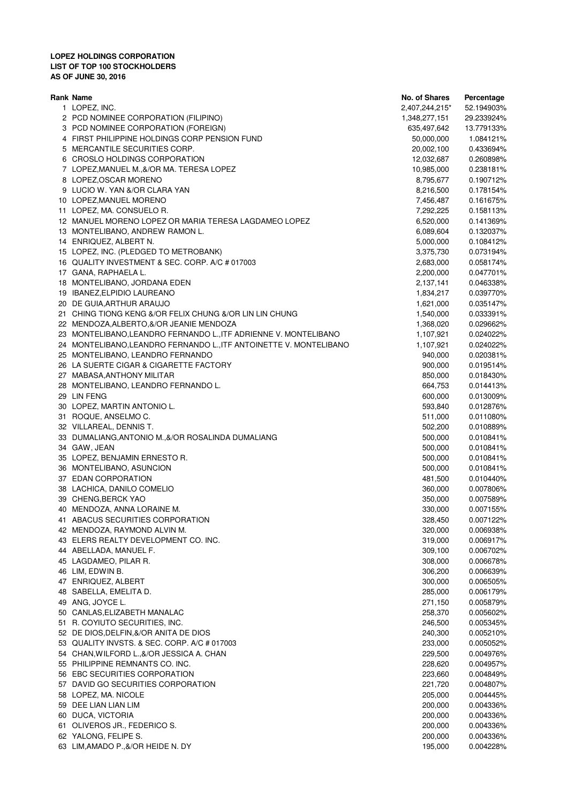| Rank Name                                                          | <b>No. of Shares</b> | Percentage |
|--------------------------------------------------------------------|----------------------|------------|
| 1 LOPEZ, INC.                                                      | 2,407,244,215*       | 52.194903% |
| 2 PCD NOMINEE CORPORATION (FILIPINO)                               | 1,348,277,151        | 29.233924% |
| 3 PCD NOMINEE CORPORATION (FOREIGN)                                | 635,497,642          | 13.779133% |
| 4 FIRST PHILIPPINE HOLDINGS CORP PENSION FUND                      | 50,000,000           | 1.084121%  |
| 5 MERCANTILE SECURITIES CORP.                                      | 20,002,100           | 0.433694%  |
| 6 CROSLO HOLDINGS CORPORATION                                      | 12,032,687           | 0.260898%  |
| 7 LOPEZ, MANUEL M., &/OR MA. TERESA LOPEZ                          | 10,985,000           | 0.238181%  |
| 8 LOPEZ, OSCAR MORENO                                              | 8,795,677            | 0.190712%  |
| 9 LUCIO W. YAN &/OR CLARA YAN                                      | 8,216,500            | 0.178154%  |
| 10 LOPEZ, MANUEL MORENO                                            | 7,456,487            | 0.161675%  |
| 11 LOPEZ, MA. CONSUELO R.                                          | 7,292,225            | 0.158113%  |
| 12 MANUEL MORENO LOPEZ OR MARIA TERESA LAGDAMEO LOPEZ              | 6,520,000            | 0.141369%  |
| 13 MONTELIBANO, ANDREW RAMON L.                                    | 6,089,604            | 0.132037%  |
| 14 ENRIQUEZ, ALBERT N.                                             | 5,000,000            | 0.108412%  |
| 15 LOPEZ, INC. (PLEDGED TO METROBANK)                              |                      | 0.073194%  |
| 16 QUALITY INVESTMENT & SEC. CORP. A/C # 017003                    | 3,375,730            |            |
| 17 GANA, RAPHAELA L.                                               | 2,683,000            | 0.058174%  |
| 18 MONTELIBANO, JORDANA EDEN                                       | 2,200,000            | 0.047701%  |
|                                                                    | 2,137,141            | 0.046338%  |
| 19 IBANEZ, ELPIDIO LAUREANO                                        | 1,834,217            | 0.039770%  |
| 20 DE GUIA, ARTHUR ARAUJO                                          | 1,621,000            | 0.035147%  |
| 21 CHING TIONG KENG &/OR FELIX CHUNG &/OR LIN LIN CHUNG            | 1,540,000            | 0.033391%  |
| 22 MENDOZA, ALBERTO, &/OR JEANIE MENDOZA                           | 1,368,020            | 0.029662%  |
| 23 MONTELIBANO, LEANDRO FERNANDO L., ITF ADRIENNE V. MONTELIBANO   | 1,107,921            | 0.024022%  |
| 24 MONTELIBANO, LEANDRO FERNANDO L., ITF ANTOINETTE V. MONTELIBANO | 1,107,921            | 0.024022%  |
| 25 MONTELIBANO, LEANDRO FERNANDO                                   | 940,000              | 0.020381%  |
| 26 LA SUERTE CIGAR & CIGARETTE FACTORY                             | 900,000              | 0.019514%  |
| 27 MABASA, ANTHONY MILITAR                                         | 850,000              | 0.018430%  |
| 28 MONTELIBANO, LEANDRO FERNANDO L.                                | 664,753              | 0.014413%  |
| 29 LIN FENG                                                        | 600,000              | 0.013009%  |
| 30 LOPEZ, MARTIN ANTONIO L.                                        | 593,840              | 0.012876%  |
| 31 ROQUE, ANSELMO C.                                               | 511,000              | 0.011080%  |
| 32 VILLAREAL, DENNIS T.                                            | 502,200              | 0.010889%  |
| 33 DUMALIANG, ANTONIO M., &/OR ROSALINDA DUMALIANG                 | 500,000              | 0.010841%  |
| 34 GAW, JEAN                                                       | 500,000              | 0.010841%  |
| 35 LOPEZ, BENJAMIN ERNESTO R.                                      | 500,000              | 0.010841%  |
| 36 MONTELIBANO, ASUNCION                                           | 500,000              | 0.010841%  |
| 37 EDAN CORPORATION                                                | 481,500              | 0.010440%  |
| 38 LACHICA, DANILO COMELIO                                         | 360,000              | 0.007806%  |
| 39 CHENG, BERCK YAO                                                | 350,000              | 0.007589%  |
| 40 MENDOZA, ANNA LORAINE M.                                        | 330,000              | 0.007155%  |
| 41 ABACUS SECURITIES CORPORATION                                   | 328,450              | 0.007122%  |
| 42 MENDOZA, RAYMOND ALVIN M.                                       | 320,000              | 0.006938%  |
| 43 ELERS REALTY DEVELOPMENT CO. INC.                               | 319,000              | 0.006917%  |
| 44 ABELLADA, MANUEL F.                                             | 309,100              | 0.006702%  |
| 45 LAGDAMEO, PILAR R.                                              | 308,000              | 0.006678%  |
| 46 LIM, EDWIN B.                                                   | 306,200              | 0.006639%  |
| 47 ENRIQUEZ, ALBERT                                                | 300,000              | 0.006505%  |
| 48 SABELLA, EMELITA D.                                             | 285,000              | 0.006179%  |
| 49 ANG, JOYCE L.                                                   | 271,150              | 0.005879%  |
| 50 CANLAS, ELIZABETH MANALAC                                       | 258,370              | 0.005602%  |
| 51 R. COYIUTO SECURITIES, INC.                                     | 246,500              | 0.005345%  |
| 52 DE DIOS, DELFIN, & / OR ANITA DE DIOS                           | 240,300              | 0.005210%  |
| 53 QUALITY INVSTS. & SEC. CORP. A/C # 017003                       | 233,000              | 0.005052%  |
| 54 CHAN, WILFORD L., &/OR JESSICA A. CHAN                          | 229,500              | 0.004976%  |
| 55 PHILIPPINE REMNANTS CO. INC.                                    | 228,620              | 0.004957%  |
| 56 EBC SECURITIES CORPORATION                                      | 223,660              | 0.004849%  |
| 57 DAVID GO SECURITIES CORPORATION                                 | 221,720              | 0.004807%  |
| 58 LOPEZ, MA. NICOLE                                               | 205,000              | 0.004445%  |
| 59 DEE LIAN LIAN LIM                                               | 200,000              | 0.004336%  |
| 60 DUCA, VICTORIA                                                  | 200,000              | 0.004336%  |
| 61 OLIVEROS JR., FEDERICO S.                                       | 200,000              | 0.004336%  |
| 62 YALONG, FELIPE S.                                               | 200,000              | 0.004336%  |
| 63 LIM, AMADO P., &/OR HEIDE N. DY                                 | 195,000              | 0.004228%  |
|                                                                    |                      |            |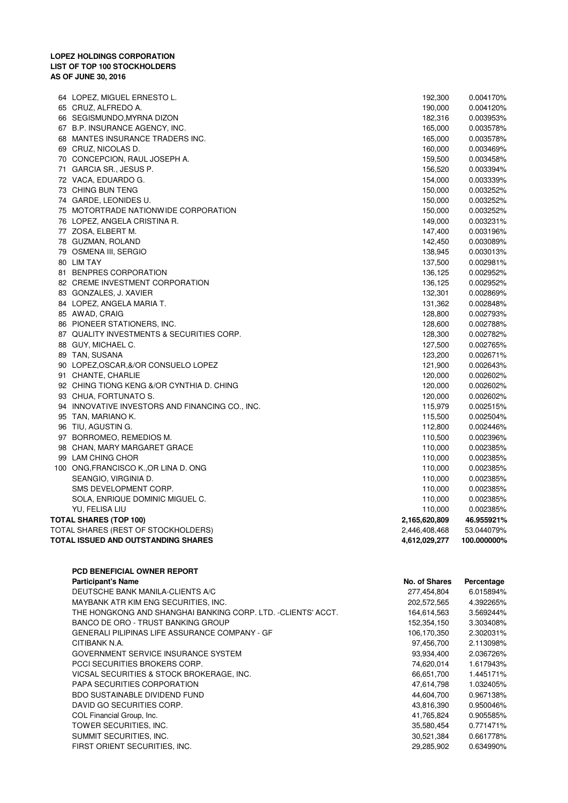| 64 LOPEZ, MIGUEL ERNESTO L.                     | 192,300       | 0.004170%   |
|-------------------------------------------------|---------------|-------------|
| 65 CRUZ, ALFREDO A.                             | 190,000       | 0.004120%   |
| 66 SEGISMUNDO, MYRNA DIZON                      | 182,316       | 0.003953%   |
| 67 B.P. INSURANCE AGENCY, INC.                  | 165,000       | 0.003578%   |
| 68 MANTES INSURANCE TRADERS INC.                | 165,000       | 0.003578%   |
| 69 CRUZ, NICOLAS D.                             | 160,000       | 0.003469%   |
| 70 CONCEPCION, RAUL JOSEPH A.                   | 159,500       | 0.003458%   |
| 71 GARCIA SR., JESUS P.                         | 156,520       | 0.003394%   |
| 72 VACA, EDUARDO G.                             | 154,000       | 0.003339%   |
| 73 CHING BUN TENG                               | 150,000       | 0.003252%   |
| 74 GARDE, LEONIDES U.                           | 150,000       | 0.003252%   |
| 75 MOTORTRADE NATIONWIDE CORPORATION            | 150,000       | 0.003252%   |
| 76 LOPEZ, ANGELA CRISTINA R.                    | 149,000       | 0.003231%   |
| 77 ZOSA, ELBERT M.                              | 147,400       | 0.003196%   |
| 78 GUZMAN, ROLAND                               | 142,450       | 0.003089%   |
| 79 OSMENA III, SERGIO                           | 138,945       | 0.003013%   |
| 80 LIM TAY                                      | 137,500       | 0.002981%   |
| 81 BENPRES CORPORATION                          | 136,125       | 0.002952%   |
| 82 CREME INVESTMENT CORPORATION                 | 136,125       | 0.002952%   |
| 83 GONZALES, J. XAVIER                          | 132,301       | 0.002869%   |
| 84 LOPEZ, ANGELA MARIA T.                       | 131,362       | 0.002848%   |
| 85 AWAD, CRAIG                                  | 128,800       | 0.002793%   |
| 86 PIONEER STATIONERS, INC.                     | 128,600       | 0.002788%   |
| 87 QUALITY INVESTMENTS & SECURITIES CORP.       | 128,300       | 0.002782%   |
| 88 GUY, MICHAEL C.                              | 127,500       | 0.002765%   |
| 89 TAN, SUSANA                                  | 123,200       | 0.002671%   |
| 90 LOPEZ,OSCAR,&/OR CONSUELO LOPEZ              | 121,900       | 0.002643%   |
| 91 CHANTE, CHARLIE                              | 120,000       | 0.002602%   |
| 92 CHING TIONG KENG &/OR CYNTHIA D. CHING       | 120,000       | 0.002602%   |
| 93 CHUA, FORTUNATO S.                           | 120,000       | 0.002602%   |
| 94 INNOVATIVE INVESTORS AND FINANCING CO., INC. | 115,979       | 0.002515%   |
| 95 TAN, MARIANO K.                              | 115,500       | 0.002504%   |
| 96 TIU, AGUSTIN G.                              | 112,800       | 0.002446%   |
| 97 BORROMEO, REMEDIOS M.                        | 110,500       | 0.002396%   |
| 98 CHAN, MARY MARGARET GRACE                    | 110,000       | 0.002385%   |
| 99 LAM CHING CHOR                               | 110,000       | 0.002385%   |
| 100 ONG, FRANCISCO K., OR LINA D. ONG           | 110,000       | 0.002385%   |
| SEANGIO, VIRGINIA D.                            | 110,000       | 0.002385%   |
| SMS DEVELOPMENT CORP.                           | 110,000       | 0.002385%   |
| SOLA, ENRIQUE DOMINIC MIGUEL C.                 | 110,000       | 0.002385%   |
| YU, FELISA LIU                                  | 110,000       | 0.002385%   |
| TOTAL SHARES (TOP 100)                          | 2,165,620,809 | 46.955921%  |
| TOTAL SHARES (REST OF STOCKHOLDERS)             | 2,446,408,468 | 53.044079%  |
| TOTAL ISSUED AND OUTSTANDING SHARES             | 4,612,029,277 | 100.000000% |
|                                                 |               |             |

# **PCD BENEFICIAL OWNER REPORT**

| <b>Participant's Name</b>                                    | No. of Shares | Percentage |
|--------------------------------------------------------------|---------------|------------|
| DEUTSCHE BANK MANILA-CLIENTS A/C                             | 277,454,804   | 6.015894%  |
| MAYBANK ATR KIM ENG SECURITIES, INC.                         | 202,572,565   | 4.392265%  |
| THE HONGKONG AND SHANGHAI BANKING CORP. LTD. -CLIENTS' ACCT. | 164,614,563   | 3.569244%  |
| BANCO DE ORO - TRUST BANKING GROUP                           | 152.354.150   | 3.303408%  |
| <b>GENERALI PILIPINAS LIFE ASSURANCE COMPANY - GF</b>        | 106,170,350   | 2.302031%  |
| CITIBANK N.A.                                                | 97,456,700    | 2.113098%  |
| GOVERNMENT SERVICE INSURANCE SYSTEM                          | 93,934,400    | 2.036726%  |
| PCCI SECURITIES BROKERS CORP.                                | 74.620.014    | 1.617943%  |
| VICSAL SECURITIES & STOCK BROKERAGE. INC.                    | 66.651.700    | 1.445171%  |
| PAPA SECURITIES CORPORATION                                  | 47,614,798    | 1.032405%  |
| <b>BDO SUSTAINABLE DIVIDEND FUND</b>                         | 44,604,700    | 0.967138%  |
| DAVID GO SECURITIES CORP.                                    | 43,816,390    | 0.950046%  |
| COL Financial Group, Inc.                                    | 41,765,824    | 0.905585%  |
| TOWER SECURITIES. INC.                                       | 35.580.454    | 0.771471%  |
| SUMMIT SECURITIES, INC.                                      | 30.521.384    | 0.661778%  |
| FIRST ORIENT SECURITIES, INC.                                | 29,285,902    | 0.634990%  |
|                                                              |               |            |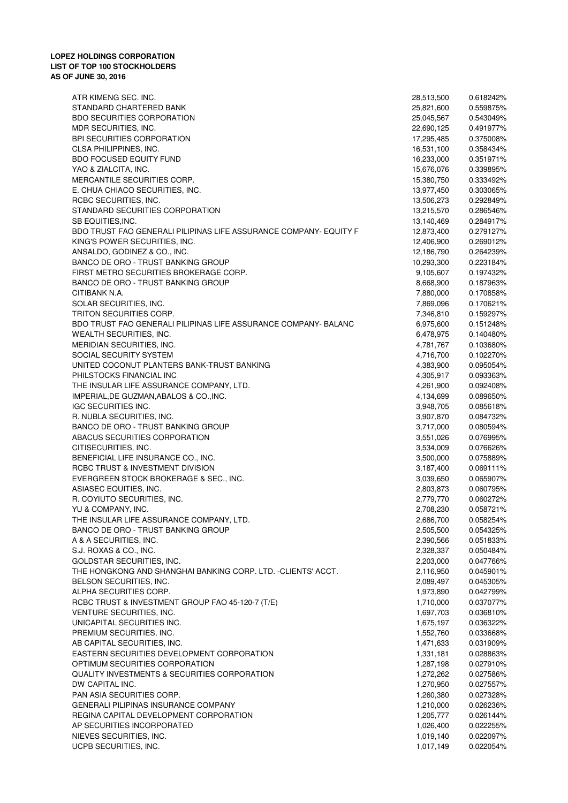ATR KIMENG SEC. INC. 28,513,500 0.618242% STANDARD CHARTERED BANK 25,821,600 0.559875% BDO SECURITIES CORPORATION 6-85049% 25,045,567 0.543049% 25,045,567 0.543049% MDR SECURITIES, INC. 22,690,125 0.491977% BPI SECURITIES CORPORATION 6-8 (2008) 2008 17,295,485 17,295,485 17,295,485 17,295,485 17,295,485 17,295,485 17,295,485 17,295,485 17,295,485 17,295,485 17,295,485 17,295,485 17,295,485 17,295,485 17,295,485 17,295,485 17, CLSA PHILIPPINES, INC. 2012 16,531,100 16,531,100 16,53434% BDO FOCUSED EQUITY FUND **16,233,000** 16,233,000 0.351971% YAO & ZIALCITA, INC. 2008 2012 15,676,076 2039895% 15,676,076 2039895% 15,676,076 2039895% 15,676,076 2039895% MERCANTILE SECURITIES CORP. 
0.333492% E. CHUA CHIACO SECURITIES, INC. 0.303065% 13,977,450 RCBC SECURITIES, INC. 202849% 13,506,273 0.292849% 13,506,273 0.292849% STANDARD SECURITIES CORPORATION 6.286546% 13,215,570 0.286546% SB EQUITIES.INC. 284917% 13,140,469 0.284917% BDO TRUST FAO GENERALI PILIPINAS LIFE ASSURANCE COMPANY- EQUITY F 12,873,400 0.279127% KING'S POWER SECURITIES, INC. 0.269012% 12,406,900 ANSALDO, GODINEZ & CO., INC. 0.264239% 12,186,790 0.264239% 12,186,790 0.264239% BANCO DE ORO - TRUST BANKING GROUP **10,293,300** 0.223184% FIRST METRO SECURITIES BROKERAGE CORP. 0.197432% 9,105,607 BANCO DE ORO - TRUST BANKING GROUP CONTROL DE CONTROL DE LA SIGNE ANNO 8,668,900 0.187963% CITIBANK N.A. 0.170858% 7,880,000 SOLAR SECURITIES, INC. 2.170621% 7,869,096 0.170621% TRITON SECURITIES CORP.  $7.346.810$  0.159297% BDO TRUST FAO GENERALI PILIPINAS LIFE ASSURANCE COMPANY- BALANC 6,975,600 0.151248% WEALTH SECURITIES, INC. 2008 0.140480% 6.478,975 0.140480% MERIDIAN SECURITIES, INC. 6.103680% 6.103680% 4,781,767 6.103680% 4,781,767 6.103680% SOCIAL SECURITY SYSTEM **1.102270%** 6.102270% 6.102270% 6.102270% 6.102270% 6.102270% UNITED COCONUT PLANTERS BANK-TRUST BANKING 0.095054% 4,383,900 PHILSTOCKS FINANCIAL INC **CONSERVATION CONSERVATION** 4,305,917 0.093363% THE INSULAR LIFE ASSURANCE COMPANY, LTD.  $\frac{1}{2}$  and  $\frac{1}{2}$  and  $\frac{4.261,900}{4.261,900}$  0.092408% IMPERIAL,DE GUZMAN,ABALOS & CO.,INC. 0.089650% 4,134,699 IGC SECURITIES INC. 0.085618% 3,948,705 R. NUBLA SECURITIES, INC. 0.084732% 3,907,870 BANCO DE ORO - TRUST BANKING GROUP 6.080594% 3,717,000 0.080594% ABACUS SECURITIES CORPORATION GALLERY AND RESEARCH AND RESEARCH AND RESEARCH AND RESEARCH AND RESEARCH AND RESEARCH AND RESEARCH AND RESEARCH AND RESEARCH AND RESEARCH AND RESEARCH AND RESEARCH AND RESEARCH AND RESEARCH AN CITISECURITIES, INC. 2009 3,534,009 3,534,009 3,534,009 3,534,009 3,534,009 3,534,009 3,534,009 3,534,009 3,534,009 3,534,009 3,534,009 3,534,009 3,534,009 3,534,009 3,534,009 3,534,009 3,534,009 3,534,009 3,534,009 3,534, BENEFICIAL LIFE INSURANCE CO., INC. 0.075889% 3,500,000 RCBC TRUST & INVESTMENT DIVISION 8,187,400 0.069111% EVERGREEN STOCK BROKERAGE & SEC., INC. 0.065907% 3,039,650 ASIASEC EQUITIES, INC. 2,803,873 0.060795% 2,803,873 0.060795% R. COYIUTO SECURITIES, INC. 2,779,770 0.060272% YU & COMPANY, INC. 2,708,230 0.058721% THE INSULAR LIFE ASSURANCE COMPANY, LTD.  $2.686,700$  0.058254% BANCO DE ORO - TRUST BANKING GROUP 0.054325% 2,505,500 0.054325% A & A SECURITIES, INC. 2,390,566 2.051833% S.J. ROXAS & CO., INC. 2.328,337 0.050484% GOLDSTAR SECURITIES, INC.  $\overline{0.047766\%}$ THE HONGKONG AND SHANGHAI BANKING CORP. LTD. -CLIENTS' ACCT. 2,116,950 0.045901% BELSON SECURITIES, INC. 2008.497 2,089.497 0.045305% ALPHA SECURITIES CORP. 0.042799% 1,973,890 RCBC TRUST & INVESTMENT GROUP FAO 45-120-7 (T/E) 0.000 1,710,000 0.037077% VENTURE SECURITIES, INC. 0.036810% 1,697,703 UNICAPITAL SECURITIES INC. 0.036322% 1,675,197 PREMIUM SECURITIES, INC. 6.0033668% 1,552,760 0,033668% AB CAPITAL SECURITIES, INC. And the contract of the contract of the contract of the contract of the contract of the contract of the contract of the contract of the contract of the contract of the contract of the contract o EASTERN SECURITIES DEVELOPMENT CORPORATION 0.028863% 1,331,181 OPTIMUM SECURITIES CORPORATION **OPTIMUM SECURITIES** CORPORATION QUALITY INVESTMENTS & SECURITIES CORPORATION  $1.272.262$  0.027586% DW CAPITAL INC. 20027557% 1,270,950 1,270,950 1,27557% PAN ASIA SECURITIES CORP. **PAN ASIA SECURITIES CORP. PAN ASIA SECURITIES PAN ASIA SECURITIES** GENERALI PILIPINAS INSURANCE COMPANY **1.210.000** 0.026236% REGINA CAPITAL DEVELOPMENT CORPORATION 0.026144% 1,205,777 AP SECURITIES INCORPORATED **1.026.400** 0.022255% NIEVES SECURITIES, INC. 0.022097% 1,019,140 UCPB SECURITIES, INC. 0.022054% 1,017,149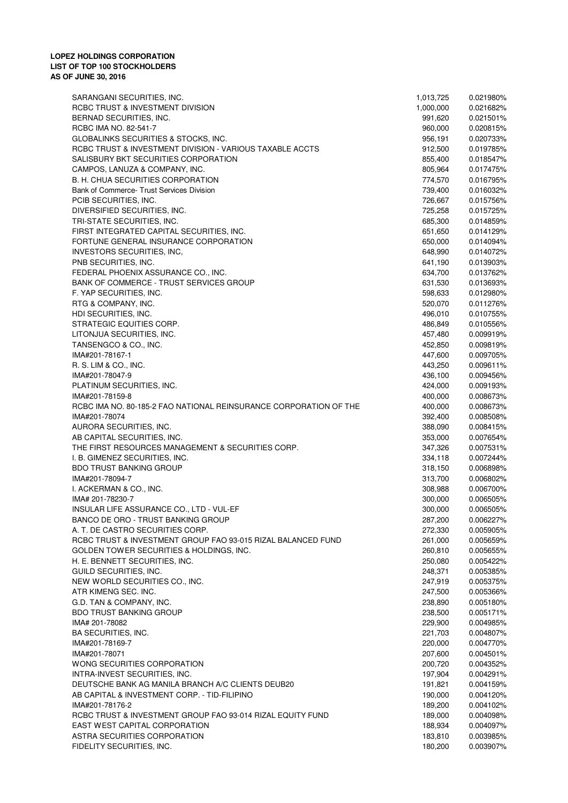| SARANGANI SECURITIES, INC.                                        | 1,013,725 | 0.021980% |
|-------------------------------------------------------------------|-----------|-----------|
| RCBC TRUST & INVESTMENT DIVISION                                  | 1,000,000 | 0.021682% |
| BERNAD SECURITIES, INC.                                           | 991,620   | 0.021501% |
| RCBC IMA NO. 82-541-7                                             | 960,000   | 0.020815% |
| GLOBALINKS SECURITIES & STOCKS, INC.                              | 956,191   | 0.020733% |
| RCBC TRUST & INVESTMENT DIVISION - VARIOUS TAXABLE ACCTS          | 912,500   | 0.019785% |
| SALISBURY BKT SECURITIES CORPORATION                              | 855,400   | 0.018547% |
| CAMPOS, LANUZA & COMPANY, INC.                                    | 805,964   | 0.017475% |
| B. H. CHUA SECURITIES CORPORATION                                 | 774,570   | 0.016795% |
| Bank of Commerce- Trust Services Division                         | 739,400   | 0.016032% |
|                                                                   |           |           |
| PCIB SECURITIES, INC.                                             | 726,667   | 0.015756% |
| DIVERSIFIED SECURITIES, INC.                                      | 725,258   | 0.015725% |
| TRI-STATE SECURITIES, INC.                                        | 685,300   | 0.014859% |
| FIRST INTEGRATED CAPITAL SECURITIES, INC.                         | 651,650   | 0.014129% |
| FORTUNE GENERAL INSURANCE CORPORATION                             | 650,000   | 0.014094% |
| INVESTORS SECURITIES, INC.                                        | 648,990   | 0.014072% |
| PNB SECURITIES, INC.                                              | 641,190   | 0.013903% |
| FEDERAL PHOENIX ASSURANCE CO., INC.                               | 634,700   | 0.013762% |
| BANK OF COMMERCE - TRUST SERVICES GROUP                           | 631,530   | 0.013693% |
| F. YAP SECURITIES, INC.                                           | 598,633   | 0.012980% |
|                                                                   |           |           |
| RTG & COMPANY, INC.                                               | 520,070   | 0.011276% |
| HDI SECURITIES, INC.                                              | 496,010   | 0.010755% |
| STRATEGIC EQUITIES CORP.                                          | 486,849   | 0.010556% |
| LITONJUA SECURITIES, INC.                                         | 457,480   | 0.009919% |
| TANSENGCO & CO., INC.                                             | 452,850   | 0.009819% |
| IMA#201-78167-1                                                   | 447,600   | 0.009705% |
| R. S. LIM & CO., INC.                                             | 443,250   | 0.009611% |
| IMA#201-78047-9                                                   | 436,100   | 0.009456% |
| PLATINUM SECURITIES, INC.                                         | 424,000   | 0.009193% |
| IMA#201-78159-8                                                   | 400,000   | 0.008673% |
| RCBC IMA NO. 80-185-2 FAO NATIONAL REINSURANCE CORPORATION OF THE | 400,000   | 0.008673% |
| IMA#201-78074                                                     | 392,400   | 0.008508% |
|                                                                   |           |           |
| AURORA SECURITIES, INC.                                           | 388,090   | 0.008415% |
| AB CAPITAL SECURITIES, INC.                                       | 353,000   | 0.007654% |
| THE FIRST RESOURCES MANAGEMENT & SECURITIES CORP.                 | 347,326   | 0.007531% |
| I. B. GIMENEZ SECURITIES, INC.                                    | 334,118   | 0.007244% |
| <b>BDO TRUST BANKING GROUP</b>                                    | 318,150   | 0.006898% |
| IMA#201-78094-7                                                   | 313,700   | 0.006802% |
| I. ACKERMAN & CO., INC.                                           | 308,988   | 0.006700% |
| IMA# 201-78230-7                                                  | 300,000   | 0.006505% |
| INSULAR LIFE ASSURANCE CO., LTD - VUL-EF                          | 300,000   | 0.006505% |
| BANCO DE ORO - TRUST BANKING GROUP                                | 287,200   | 0.006227% |
| A. T. DE CASTRO SECURITIES CORP.                                  | 272,330   | 0.005905% |
| RCBC TRUST & INVESTMENT GROUP FAO 93-015 RIZAL BALANCED FUND      |           |           |
|                                                                   | 261,000   | 0.005659% |
| GOLDEN TOWER SECURITIES & HOLDINGS, INC.                          | 260,810   | 0.005655% |
| H. E. BENNETT SECURITIES, INC.                                    | 250,080   | 0.005422% |
| GUILD SECURITIES, INC.                                            | 248,371   | 0.005385% |
| NEW WORLD SECURITIES CO., INC.                                    | 247,919   | 0.005375% |
| ATR KIMENG SEC. INC.                                              | 247,500   | 0.005366% |
| G.D. TAN & COMPANY, INC.                                          | 238,890   | 0.005180% |
| <b>BDO TRUST BANKING GROUP</b>                                    | 238,500   | 0.005171% |
| IMA# 201-78082                                                    | 229,900   | 0.004985% |
| BA SECURITIES, INC.                                               | 221,703   | 0.004807% |
| IMA#201-78169-7                                                   | 220,000   | 0.004770% |
| IMA#201-78071                                                     | 207,600   | 0.004501% |
|                                                                   |           |           |
| WONG SECURITIES CORPORATION                                       | 200,720   | 0.004352% |
| INTRA-INVEST SECURITIES, INC.                                     | 197,904   | 0.004291% |
| DEUTSCHE BANK AG MANILA BRANCH A/C CLIENTS DEUB20                 | 191,821   | 0.004159% |
| AB CAPITAL & INVESTMENT CORP. - TID-FILIPINO                      | 190,000   | 0.004120% |
| IMA#201-78176-2                                                   | 189,200   | 0.004102% |
| RCBC TRUST & INVESTMENT GROUP FAO 93-014 RIZAL EQUITY FUND        | 189,000   | 0.004098% |
| EAST WEST CAPITAL CORPORATION                                     | 188,934   | 0.004097% |
| ASTRA SECURITIES CORPORATION                                      | 183,810   | 0.003985% |
| FIDELITY SECURITIES, INC.                                         | 180,200   | 0.003907% |
|                                                                   |           |           |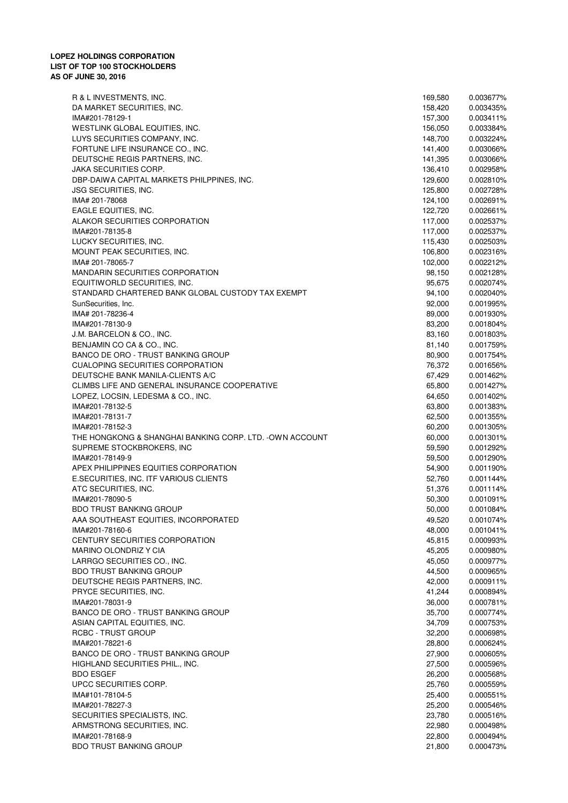| R & L INVESTMENTS, INC.                                 | 169,580 | 0.003677% |
|---------------------------------------------------------|---------|-----------|
| DA MARKET SECURITIES, INC.                              | 158,420 | 0.003435% |
| IMA#201-78129-1                                         | 157,300 | 0.003411% |
| WESTLINK GLOBAL EQUITIES, INC.                          | 156,050 | 0.003384% |
| LUYS SECURITIES COMPANY, INC.                           | 148,700 | 0.003224% |
| FORTUNE LIFE INSURANCE CO., INC.                        | 141,400 | 0.003066% |
| DEUTSCHE REGIS PARTNERS, INC.                           | 141,395 | 0.003066% |
|                                                         |         |           |
| JAKA SECURITIES CORP.                                   | 136,410 | 0.002958% |
| DBP-DAIWA CAPITAL MARKETS PHILPPINES, INC.              | 129,600 | 0.002810% |
| <b>JSG SECURITIES, INC.</b>                             | 125,800 | 0.002728% |
| IMA# 201-78068                                          | 124,100 | 0.002691% |
| EAGLE EQUITIES, INC.                                    | 122,720 | 0.002661% |
| ALAKOR SECURITIES CORPORATION                           | 117,000 | 0.002537% |
| IMA#201-78135-8                                         | 117,000 | 0.002537% |
| LUCKY SECURITIES, INC.                                  | 115,430 | 0.002503% |
| MOUNT PEAK SECURITIES, INC.                             | 106,800 | 0.002316% |
|                                                         |         |           |
| IMA# 201-78065-7                                        | 102,000 | 0.002212% |
| <b>MANDARIN SECURITIES CORPORATION</b>                  | 98,150  | 0.002128% |
| EQUITIWORLD SECURITIES, INC.                            | 95,675  | 0.002074% |
| STANDARD CHARTERED BANK GLOBAL CUSTODY TAX EXEMPT       | 94,100  | 0.002040% |
| SunSecurities, Inc.                                     | 92,000  | 0.001995% |
| IMA# 201-78236-4                                        | 89,000  | 0.001930% |
| IMA#201-78130-9                                         | 83,200  | 0.001804% |
| J.M. BARCELON & CO., INC.                               | 83,160  | 0.001803% |
|                                                         |         |           |
| BENJAMIN CO CA & CO., INC.                              | 81,140  | 0.001759% |
| BANCO DE ORO - TRUST BANKING GROUP                      | 80,900  | 0.001754% |
| <b>CUALOPING SECURITIES CORPORATION</b>                 | 76,372  | 0.001656% |
| DEUTSCHE BANK MANILA-CLIENTS A/C                        | 67,429  | 0.001462% |
| CLIMBS LIFE AND GENERAL INSURANCE COOPERATIVE           | 65,800  | 0.001427% |
| LOPEZ, LOCSIN, LEDESMA & CO., INC.                      | 64,650  | 0.001402% |
| IMA#201-78132-5                                         | 63,800  | 0.001383% |
| IMA#201-78131-7                                         | 62,500  | 0.001355% |
| IMA#201-78152-3                                         | 60,200  | 0.001305% |
| THE HONGKONG & SHANGHAI BANKING CORP. LTD. -OWN ACCOUNT |         |           |
|                                                         | 60,000  | 0.001301% |
| SUPREME STOCKBROKERS, INC                               | 59,590  | 0.001292% |
| IMA#201-78149-9                                         | 59,500  | 0.001290% |
| APEX PHILIPPINES EQUITIES CORPORATION                   | 54,900  | 0.001190% |
| E.SECURITIES, INC. ITF VARIOUS CLIENTS                  | 52,760  | 0.001144% |
| ATC SECURITIES, INC.                                    | 51,376  | 0.001114% |
| IMA#201-78090-5                                         | 50,300  | 0.001091% |
| <b>BDO TRUST BANKING GROUP</b>                          | 50,000  | 0.001084% |
| AAA SOUTHEAST EQUITIES, INCORPORATED                    | 49,520  | 0.001074% |
| IMA#201-78160-6                                         | 48,000  | 0.001041% |
|                                                         |         |           |
| CENTURY SECURITIES CORPORATION                          | 45,815  | 0.000993% |
| MARINO OLONDRIZ Y CIA                                   | 45,205  | 0.000980% |
| LARRGO SECURITIES CO., INC.                             | 45,050  | 0.000977% |
| <b>BDO TRUST BANKING GROUP</b>                          | 44,500  | 0.000965% |
| DEUTSCHE REGIS PARTNERS, INC.                           | 42,000  | 0.000911% |
| PRYCE SECURITIES, INC.                                  | 41,244  | 0.000894% |
| IMA#201-78031-9                                         | 36,000  | 0.000781% |
| BANCO DE ORO - TRUST BANKING GROUP                      | 35,700  | 0.000774% |
| ASIAN CAPITAL EQUITIES, INC.                            | 34,709  | 0.000753% |
|                                                         |         |           |
| RCBC - TRUST GROUP                                      | 32,200  | 0.000698% |
| IMA#201-78221-6                                         | 28,800  | 0.000624% |
| BANCO DE ORO - TRUST BANKING GROUP                      | 27,900  | 0.000605% |
| HIGHLAND SECURITIES PHIL., INC.                         | 27,500  | 0.000596% |
| <b>BDO ESGEF</b>                                        | 26,200  | 0.000568% |
| UPCC SECURITIES CORP.                                   | 25,760  | 0.000559% |
| IMA#101-78104-5                                         | 25,400  | 0.000551% |
| IMA#201-78227-3                                         | 25,200  | 0.000546% |
| SECURITIES SPECIALISTS, INC.                            | 23,780  | 0.000516% |
|                                                         |         |           |
| ARMSTRONG SECURITIES, INC.                              | 22,980  | 0.000498% |
| IMA#201-78168-9                                         | 22,800  | 0.000494% |
| <b>BDO TRUST BANKING GROUP</b>                          | 21,800  | 0.000473% |